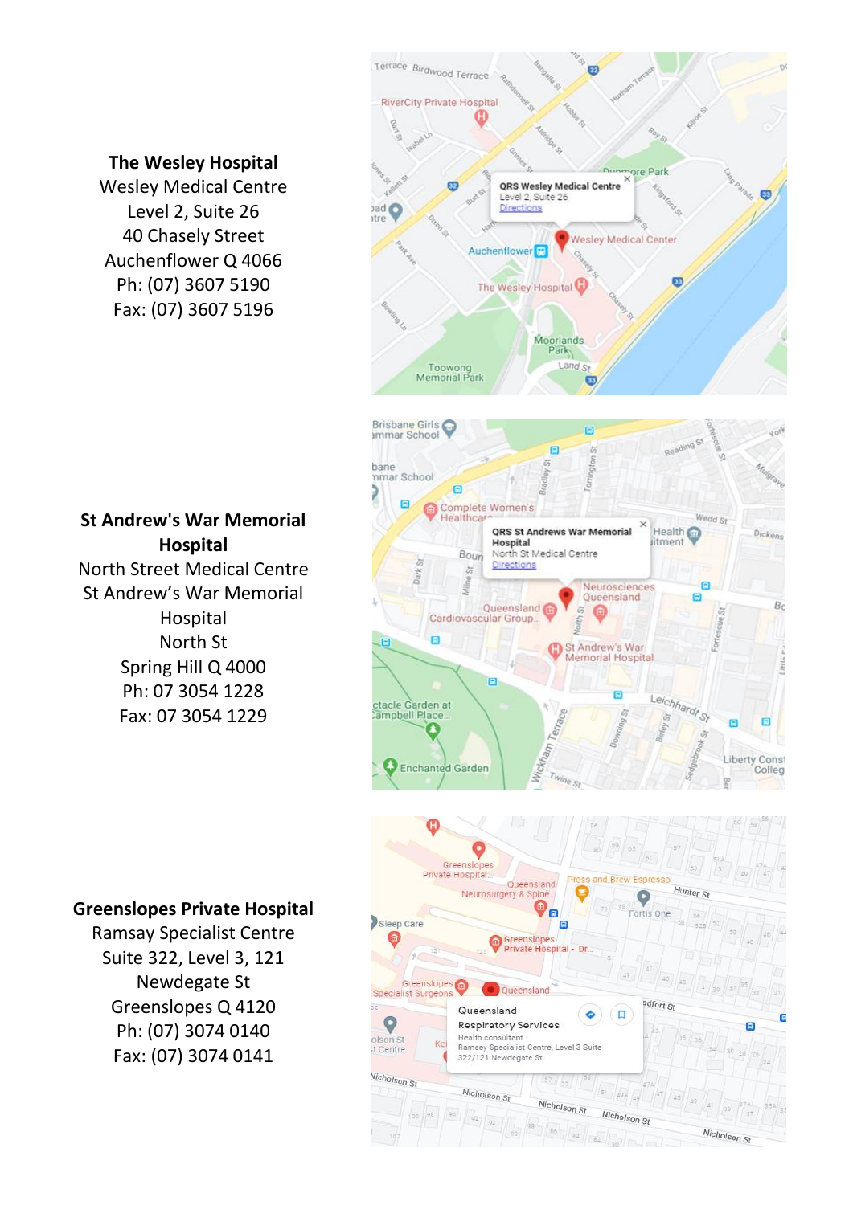### **The Wesley Hospital**

Wesley Medical Centre Level 2, Suite 26 40 Chasely Street Auchenflower Q 4066 Ph: (07) 3607 5190 Fax: (07) 3607 5196





As.

Nicholson St

Nicholson St

Nicholson St

## **St Andrew's War Memorial Hospital**

North Street Medical Centre St Andrew's War Memorial Hospital North St Spring Hill Q 4000 Ph: 07 3054 1228 Fax: 07 3054 1229

#### **Greenslopes Private Hospital**

Ramsay Specialist Centre Suite 322, Level 3, 121 Newdegate St Greenslopes Q 4120 Ph: (07) 3074 0140 Fax: (07) 3074 0141

Vicholson St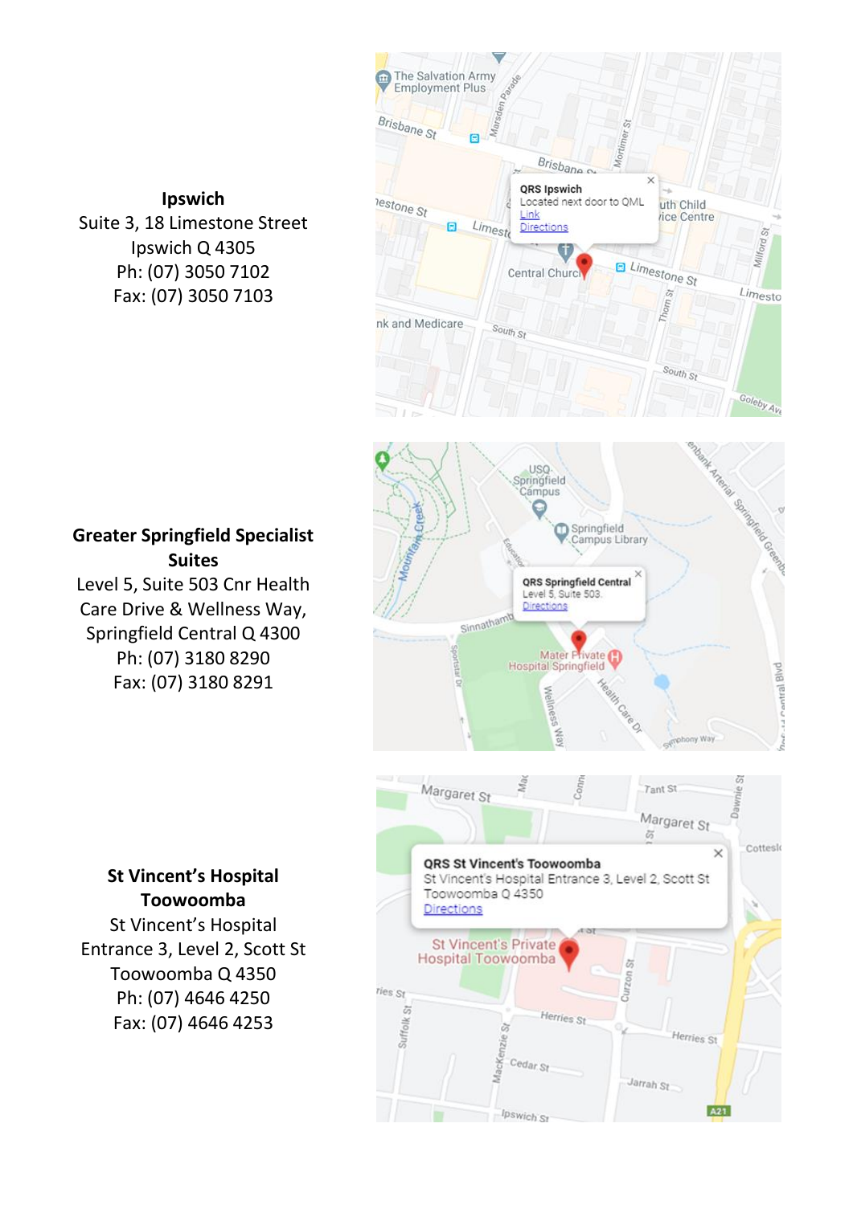### **Ipswich**

Suite 3, 18 Limestone Street Ipswich Q 4305 Ph: (07) 3050 7102 Fax: (07) 3050 7103







### **Greater Springfield Specialist Suites**

Level 5, Suite 503 Cnr Health Care Drive & Wellness Way, Springfield Central Q 4300 Ph: (07) 3180 8290 Fax: (07) 3180 8291

#### **St Vincent's Hospital Toowoomba**

St Vincent's Hospital Entrance 3, Level 2, Scott St Toowoomba Q 4350 Ph: (07) 4646 4250 Fax: (07) 4646 4253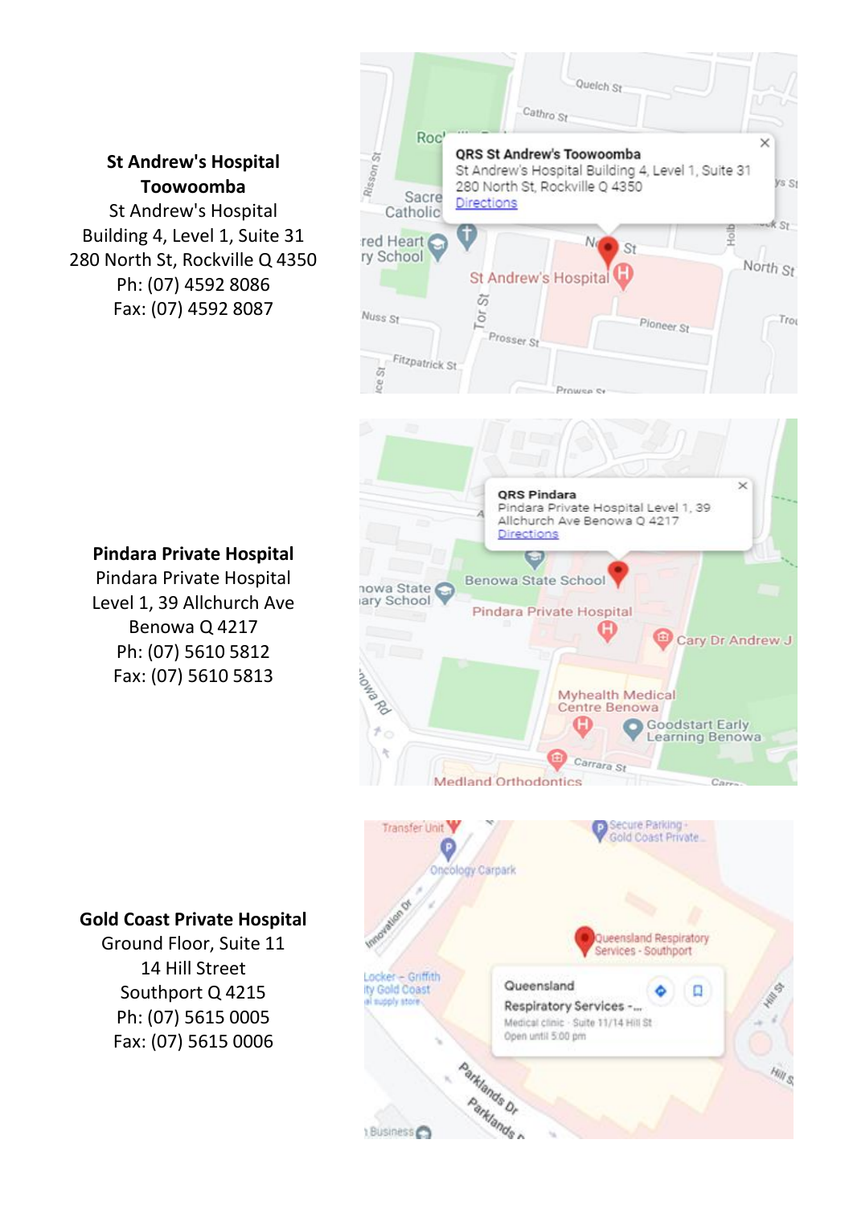## **St Andrew's Hospital Toowoomba**

St Andrew's Hospital Building 4, Level 1, Suite 31 280 North St, Rockville Q 4350 Ph: (07) 4592 8086 Fax: (07) 4592 8087







## **Pindara Private Hospital**

Pindara Private Hospital Level 1, 39 Allchurch Ave Benowa Q 4217 Ph: (07) 5610 5812 Fax: (07) 5610 5813

## **Gold Coast Private Hospital**

Ground Floor, Suite 11 14 Hill Street Southport Q 4215 Ph: (07) 5615 0005 Fax: (07) 5615 0006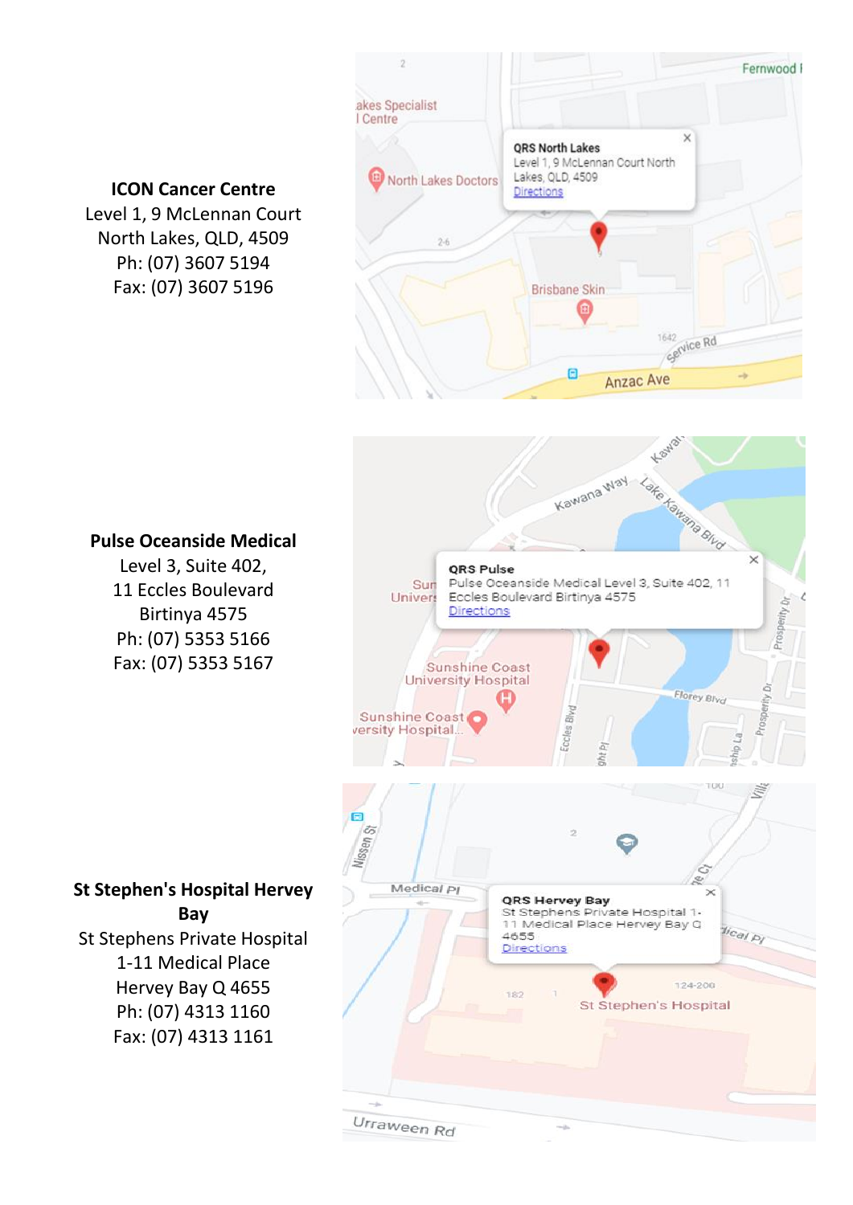

Urraween Rd